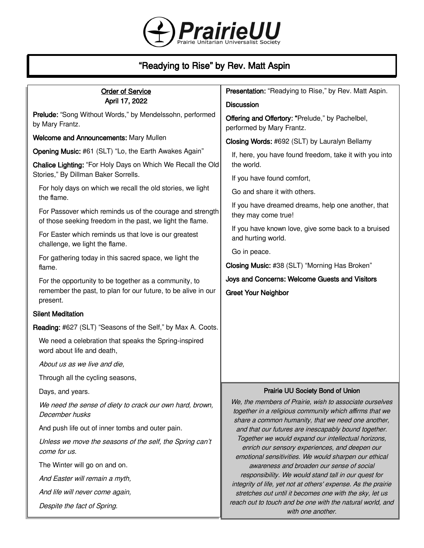

# "Readying to Rise" by Rev. Matt Aspin

| <b>Order of Service</b>                                                                                                | Presentation: "Readying to Rise," by Rev. Matt Aspin.                                                                    |
|------------------------------------------------------------------------------------------------------------------------|--------------------------------------------------------------------------------------------------------------------------|
| April 17, 2022                                                                                                         | <b>Discussion</b>                                                                                                        |
| Prelude: "Song Without Words," by Mendelssohn, performed<br>by Mary Frantz.                                            | Offering and Offertory: "Prelude," by Pachelbel,<br>performed by Mary Frantz.                                            |
| Welcome and Announcements: Mary Mullen                                                                                 | Closing Words: #692 (SLT) by Lauralyn Bellamy                                                                            |
| Opening Music: #61 (SLT) "Lo, the Earth Awakes Again"                                                                  | If, here, you have found freedom, take it with you into                                                                  |
| Chalice Lighting: "For Holy Days on Which We Recall the Old                                                            | the world.                                                                                                               |
| Stories," By Dillman Baker Sorrells.                                                                                   | If you have found comfort,                                                                                               |
| For holy days on which we recall the old stories, we light<br>the flame.                                               | Go and share it with others.                                                                                             |
| For Passover which reminds us of the courage and strength<br>of those seeking freedom in the past, we light the flame. | If you have dreamed dreams, help one another, that<br>they may come true!                                                |
| For Easter which reminds us that love is our greatest<br>challenge, we light the flame.                                | If you have known love, give some back to a bruised<br>and hurting world.                                                |
| For gathering today in this sacred space, we light the                                                                 | Go in peace.                                                                                                             |
| flame.                                                                                                                 | Closing Music: #38 (SLT) "Morning Has Broken"                                                                            |
| For the opportunity to be together as a community, to                                                                  | Joys and Concerns: Welcome Guests and Visitors                                                                           |
| remember the past, to plan for our future, to be alive in our<br>present.                                              | <b>Greet Your Neighbor</b>                                                                                               |
| <b>Silent Meditation</b>                                                                                               |                                                                                                                          |
| Reading: #627 (SLT) "Seasons of the Self," by Max A. Coots.                                                            |                                                                                                                          |
| We need a celebration that speaks the Spring-inspired<br>word about life and death,                                    |                                                                                                                          |
| About us as we live and die,                                                                                           |                                                                                                                          |
| Through all the cycling seasons,                                                                                       |                                                                                                                          |
| Days, and years.                                                                                                       | Prairie UU Society Bond of Union                                                                                         |
| We need the sense of diety to crack our own hard, brown,<br>December husks                                             | We, the members of Prairie, wish to associate ourselves<br>together in a religious community which affirms that we       |
| And push life out of inner tombs and outer pain.                                                                       | share a common humanity, that we need one another,<br>and that our futures are inescapably bound together.               |
| Unless we move the seasons of the self, the Spring can't<br>come for us.                                               | Together we would expand our intellectual horizons,<br>enrich our sensory experiences, and deepen our                    |
| The Winter will go on and on.                                                                                          | emotional sensitivities. We would sharpen our ethical<br>awareness and broaden our sense of social                       |
| And Easter will remain a myth,                                                                                         | responsibility. We would stand tall in our quest for                                                                     |
| And life will never come again,                                                                                        | integrity of life, yet not at others' expense. As the prairie<br>stretches out until it becomes one with the sky, let us |
| Despite the fact of Spring.                                                                                            | reach out to touch and be one with the natural world, and<br>with one another.                                           |